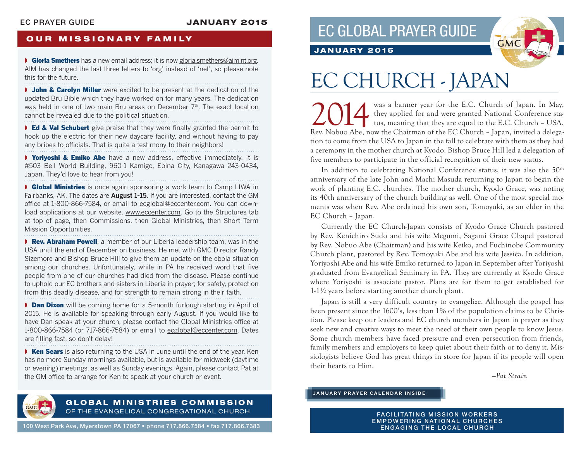### EC PRAYER GUIDE JANUARY 2015

## **OUR MISSIONARY FAMILY**

**• Gloria Smethers** has a new email address; it is now gloria.smethers@aimint.org. AIM has changed the last three letters to 'org' instead of 'net', so please note this for the future. 

**I** John & Carolyn Miller were excited to be present at the dedication of the updated Bru Bible which they have worked on for many years. The dedication was held in one of two main Bru areas on December  $7<sup>th</sup>$ . The exact location cannot be revealed due to the political situation.

■ Ed & Val Schubert give praise that they were finally granted the permit to hook up the electric for their new daycare facility, and without having to pay any bribes to officials. That is quite a testimony to their neighbors!

**▶ Yoriyoshi & Emiko Abe** have a new address, effective immediately. It is #503 Bell World Building, 960-1 Kamigo, Ebina City, Kanagawa 243-0434, Japan. They'd love to hear from you!

**• Global Ministries** is once again sponsoring a work team to Camp LIWA in Fairbanks, AK. The dates are **August 1-15**. If you are interested, contact the GM office at 1-800-866-7584, or email to ecglobal@eccenter.com. You can download applications at our website, www.eccenter.com. Go to the Structures tab at top of page, then Commissions, then Global Ministries, then Short Term Mission Opportunities.

**▶ Rev. Abraham Powell**, a member of our Liberia leadership team, was in the USA until the end of December on business. He met with GMC Director Randy Sizemore and Bishop Bruce Hill to give them an update on the ebola situation among our churches. Unfortunately, while in PA he received word that five people from one of our churches had died from the disease. Please continue to uphold our EC brothers and sisters in Liberia in prayer; for safety, protection from this deadly disease, and for strength to remain strong in their faith.

**▶ Dan Dixon** will be coming home for a 5-month furlough starting in April of 2015. He is available for speaking through early August. If you would like to have Dan speak at your church, please contact the Global Ministries office at 1-800-866-7584 (or 717-866-7584) or email to ecglobal@eccenter.com. Dates are filling fast, so don't delay! 

■ Ken Sears is also returning to the USA in June until the end of the year. Ken has no more Sunday mornings available, but is available for midweek (daytime or evening) meetings, as well as Sunday evenings. Again, please contact Pat at the GM office to arrange for Ken to speak at your church or event.





## JANUARY 2015

# EC CHURCH - JAPAN

2014 was a banner year for the E.C. Church of Japan. In May,<br>they applied for and were granted National Conference sta-<br>tus, meaning that they are equal to the E.C. Church - USA. they applied for and were granted National Conference status, meaning that they are equal to the E.C. Church – USA. Rev. Nobuo Abe, now the Chairman of the EC Church – Japan, invited a delegation to come from the USA to Japan in the fall to celebrate with them as they had a ceremony in the mother church at Kyodo. Bishop Bruce Hill led a delegation of five members to participate in the official recognition of their new status.

In addition to celebrating National Conference status, it was also the 50<sup>th</sup> anniversary of the late John and Machi Masuda returning to Japan to begin the work of planting E.C. churches. The mother church, Kyodo Grace, was noting its 40th anniversary of the church building as well. One of the most special moments was when Rev. Abe ordained his own son, Tomoyuki, as an elder in the EC Church – Japan.

Currently the EC Church-Japan consists of Kyodo Grace Church pastored by Rev. Kenichiro Sudo and his wife Megumi, Sagami Grace Chapel pastored by Rev. Nobuo Abe (Chairman) and his wife Keiko, and Fuchinobe Community Church plant, pastored by Rev. Tomoyuki Abe and his wife Jessica. In addition, Yoriyoshi Abe and his wife Emiko returned to Japan in September after Yoriyoshi graduated from Evangelical Seminary in PA. They are currently at Kyodo Grace where Yoriyoshi is associate pastor. Plans are for them to get established for 1-1½ years before starting another church plant.

Japan is still a very difficult country to evangelize. Although the gospel has been present since the 1600's, less than 1% of the population claims to be Christian. Please keep our leaders and EC church members in Japan in prayer as they seek new and creative ways to meet the need of their own people to know Jesus. Some church members have faced pressure and even persecution from friends, family members and employers to keep quiet about their faith or to deny it. Missiologists believe God has great things in store for Japan if its people will open their hearts to Him.

*—Pat Strain*



### GLOBAL MINISTRIES COMMISSION OF THE EVANGELICAL CONGREGATIONAL CHURCH

100 West Park Ave, Myerstown PA 17067 • phone 717.866.7584 • fax 717.866.7383

**FACILITATING MISSION WORKERS** EMPOWERING NATIONAL CHURCHES ENGAGING THE LOCAL CHURCH

**JANUARY PRAYER CALENDAR INSIDE**